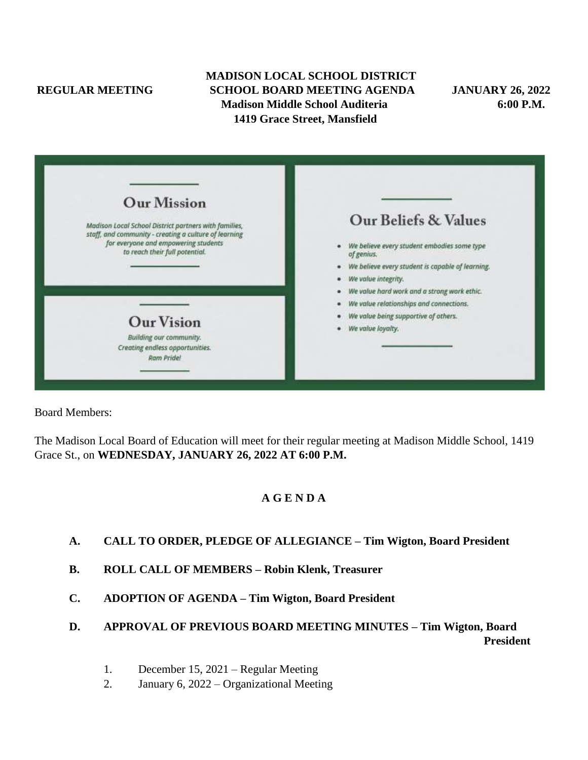# **MADISON LOCAL SCHOOL DISTRICT REGULAR MEETING SCHOOL BOARD MEETING AGENDA JANUARY 26, 2022 Madison Middle School Auditeria 6:00 P.M. 1419 Grace Street, Mansfield**

| <b>Our Mission</b>                                                                                             |                                                           |
|----------------------------------------------------------------------------------------------------------------|-----------------------------------------------------------|
| Madison Local School District partners with families,<br>staff, and community - creating a culture of learning | Our Beliefs & Values                                      |
| for everyone and empowering students<br>to reach their full potential.                                         | We believe every student embodies some type<br>of genius. |
|                                                                                                                | We believe every student is capable of learning.          |
|                                                                                                                | We value integrity.                                       |
|                                                                                                                | We value hard work and a strong work ethic.               |
|                                                                                                                | We value relationships and connections.                   |
| <b>Our Vision</b>                                                                                              | We value being supportive of others.                      |
|                                                                                                                | We value loyalty.                                         |
| Building our community.<br>Creating endless opportunities.<br>Ram Pride!                                       |                                                           |
|                                                                                                                |                                                           |

Board Members:

The Madison Local Board of Education will meet for their regular meeting at Madison Middle School, 1419 Grace St., on **WEDNESDAY, JANUARY 26, 2022 AT 6:00 P.M.**

# **A G E N D A**

- **A. CALL TO ORDER, PLEDGE OF ALLEGIANCE – Tim Wigton, Board President**
- **B. ROLL CALL OF MEMBERS – Robin Klenk, Treasurer**
- **C. ADOPTION OF AGENDA – Tim Wigton, Board President**

# **D. APPROVAL OF PREVIOUS BOARD MEETING MINUTES – Tim Wigton, Board President**

- 1. December 15, 2021 Regular Meeting
- 2. January 6, 2022 Organizational Meeting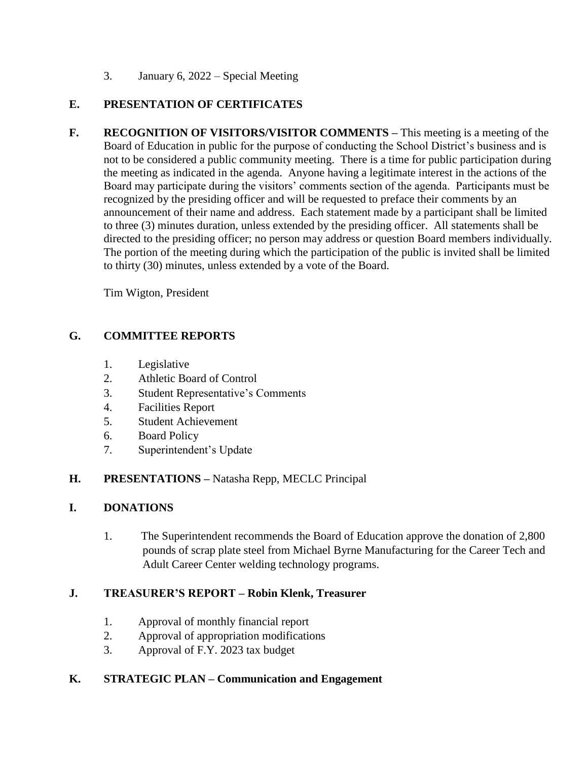3. January 6, 2022 – Special Meeting

# **E. PRESENTATION OF CERTIFICATES**

**F. RECOGNITION OF VISITORS/VISITOR COMMENTS –** This meeting is a meeting of the Board of Education in public for the purpose of conducting the School District's business and is not to be considered a public community meeting. There is a time for public participation during the meeting as indicated in the agenda. Anyone having a legitimate interest in the actions of the Board may participate during the visitors' comments section of the agenda. Participants must be recognized by the presiding officer and will be requested to preface their comments by an announcement of their name and address. Each statement made by a participant shall be limited to three (3) minutes duration, unless extended by the presiding officer. All statements shall be directed to the presiding officer; no person may address or question Board members individually. The portion of the meeting during which the participation of the public is invited shall be limited to thirty (30) minutes, unless extended by a vote of the Board.

Tim Wigton, President

# **G. COMMITTEE REPORTS**

- 1. Legislative
- 2. Athletic Board of Control
- 3. Student Representative's Comments
- 4. Facilities Report
- 5. Student Achievement
- 6. Board Policy
- 7. Superintendent's Update

# **H. PRESENTATIONS –** Natasha Repp, MECLC Principal

# **I. DONATIONS**

1. The Superintendent recommends the Board of Education approve the donation of 2,800 pounds of scrap plate steel from Michael Byrne Manufacturing for the Career Tech and Adult Career Center welding technology programs.

# **J. TREASURER'S REPORT – Robin Klenk, Treasurer**

- 1. Approval of monthly financial report
- 2. Approval of appropriation modifications
- 3. Approval of F.Y. 2023 tax budget

# **K. STRATEGIC PLAN – Communication and Engagement**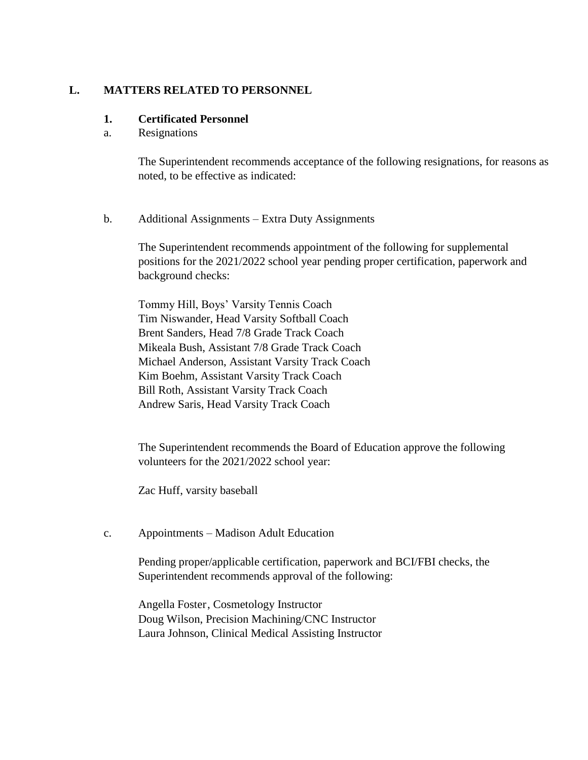### **L. MATTERS RELATED TO PERSONNEL**

#### **1. Certificated Personnel**

a. Resignations

The Superintendent recommends acceptance of the following resignations, for reasons as noted, to be effective as indicated:

b. Additional Assignments – Extra Duty Assignments

The Superintendent recommends appointment of the following for supplemental positions for the 2021/2022 school year pending proper certification, paperwork and background checks:

Tommy Hill, Boys' Varsity Tennis Coach Tim Niswander, Head Varsity Softball Coach Brent Sanders, Head 7/8 Grade Track Coach Mikeala Bush, Assistant 7/8 Grade Track Coach Michael Anderson, Assistant Varsity Track Coach Kim Boehm, Assistant Varsity Track Coach Bill Roth, Assistant Varsity Track Coach Andrew Saris, Head Varsity Track Coach

The Superintendent recommends the Board of Education approve the following volunteers for the 2021/2022 school year:

Zac Huff, varsity baseball

c. Appointments – Madison Adult Education

Pending proper/applicable certification, paperwork and BCI/FBI checks, the Superintendent recommends approval of the following:

Angella Foster, Cosmetology Instructor Doug Wilson, Precision Machining/CNC Instructor Laura Johnson, Clinical Medical Assisting Instructor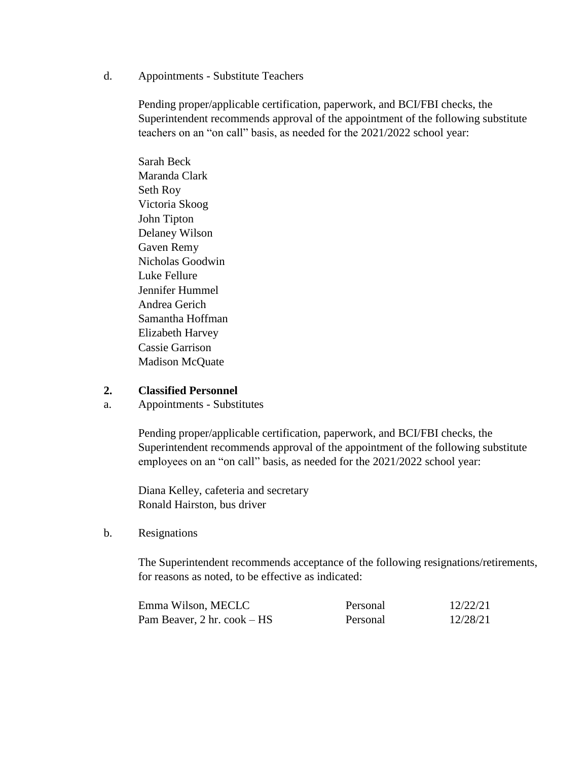d. Appointments - Substitute Teachers

Pending proper/applicable certification, paperwork, and BCI/FBI checks, the Superintendent recommends approval of the appointment of the following substitute teachers on an "on call" basis, as needed for the 2021/2022 school year:

Sarah Beck Maranda Clark Seth Roy Victoria Skoog John Tipton Delaney Wilson Gaven Remy Nicholas Goodwin Luke Fellure Jennifer Hummel Andrea Gerich Samantha Hoffman Elizabeth Harvey Cassie Garrison Madison McQuate

#### **2. Classified Personnel**

a. Appointments - Substitutes

Pending proper/applicable certification, paperwork, and BCI/FBI checks, the Superintendent recommends approval of the appointment of the following substitute employees on an "on call" basis, as needed for the 2021/2022 school year:

Diana Kelley, cafeteria and secretary Ronald Hairston, bus driver

#### b. Resignations

The Superintendent recommends acceptance of the following resignations/retirements, for reasons as noted, to be effective as indicated:

| Emma Wilson, MECLC                                  | Personal | 12/22/21 |
|-----------------------------------------------------|----------|----------|
| Pam Beaver, $2 \text{ hr.} \text{cook} - \text{HS}$ | Personal | 12/28/21 |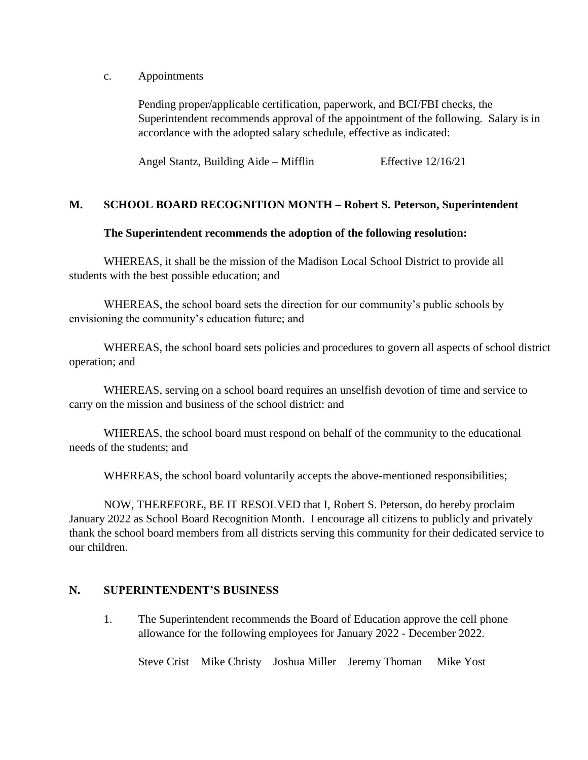c. Appointments

Pending proper/applicable certification, paperwork, and BCI/FBI checks, the Superintendent recommends approval of the appointment of the following. Salary is in accordance with the adopted salary schedule, effective as indicated:

Angel Stantz, Building Aide – Mifflin Effective 12/16/21

#### **M. SCHOOL BOARD RECOGNITION MONTH – Robert S. Peterson, Superintendent**

#### **The Superintendent recommends the adoption of the following resolution:**

WHEREAS, it shall be the mission of the Madison Local School District to provide all students with the best possible education; and

WHEREAS, the school board sets the direction for our community's public schools by envisioning the community's education future; and

WHEREAS, the school board sets policies and procedures to govern all aspects of school district operation; and

WHEREAS, serving on a school board requires an unselfish devotion of time and service to carry on the mission and business of the school district: and

WHEREAS, the school board must respond on behalf of the community to the educational needs of the students; and

WHEREAS, the school board voluntarily accepts the above-mentioned responsibilities;

NOW, THEREFORE, BE IT RESOLVED that I, Robert S. Peterson, do hereby proclaim January 2022 as School Board Recognition Month. I encourage all citizens to publicly and privately thank the school board members from all districts serving this community for their dedicated service to our children.

#### **N. SUPERINTENDENT'S BUSINESS**

1. The Superintendent recommends the Board of Education approve the cell phone allowance for the following employees for January 2022 - December 2022.

Steve Crist Mike Christy Joshua Miller Jeremy Thoman Mike Yost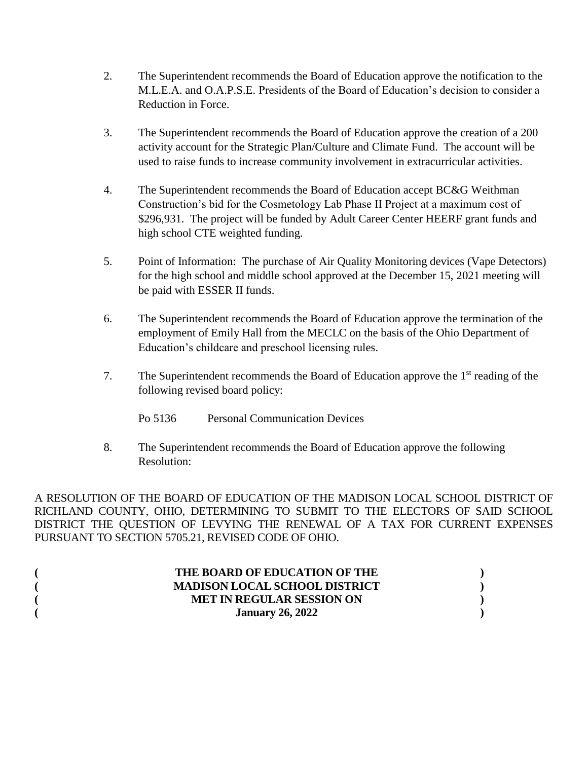- 2. The Superintendent recommends the Board of Education approve the notification to the M.L.E.A. and O.A.P.S.E. Presidents of the Board of Education's decision to consider a Reduction in Force.
- 3. The Superintendent recommends the Board of Education approve the creation of a 200 activity account for the Strategic Plan/Culture and Climate Fund. The account will be used to raise funds to increase community involvement in extracurricular activities.
- 4. The Superintendent recommends the Board of Education accept BC&G Weithman Construction's bid for the Cosmetology Lab Phase II Project at a maximum cost of \$296,931. The project will be funded by Adult Career Center HEERF grant funds and high school CTE weighted funding.
- 5. Point of Information: The purchase of Air Quality Monitoring devices (Vape Detectors) for the high school and middle school approved at the December 15, 2021 meeting will be paid with ESSER II funds.
- 6. The Superintendent recommends the Board of Education approve the termination of the employment of Emily Hall from the MECLC on the basis of the Ohio Department of Education's childcare and preschool licensing rules.
- 7. The Superintendent recommends the Board of Education approve the 1<sup>st</sup> reading of the following revised board policy:
	- Po 5136 Personal Communication Devices
- 8. The Superintendent recommends the Board of Education approve the following Resolution:

A RESOLUTION OF THE BOARD OF EDUCATION OF THE MADISON LOCAL SCHOOL DISTRICT OF RICHLAND COUNTY, OHIO, DETERMINING TO SUBMIT TO THE ELECTORS OF SAID SCHOOL DISTRICT THE QUESTION OF LEVYING THE RENEWAL OF A TAX FOR CURRENT EXPENSES PURSUANT TO SECTION 5705.21, REVISED CODE OF OHIO.

| THE BOARD OF EDUCATION OF THE        |  |
|--------------------------------------|--|
| <b>MADISON LOCAL SCHOOL DISTRICT</b> |  |
| <b>MET IN REGULAR SESSION ON</b>     |  |
| <b>January 26, 2022</b>              |  |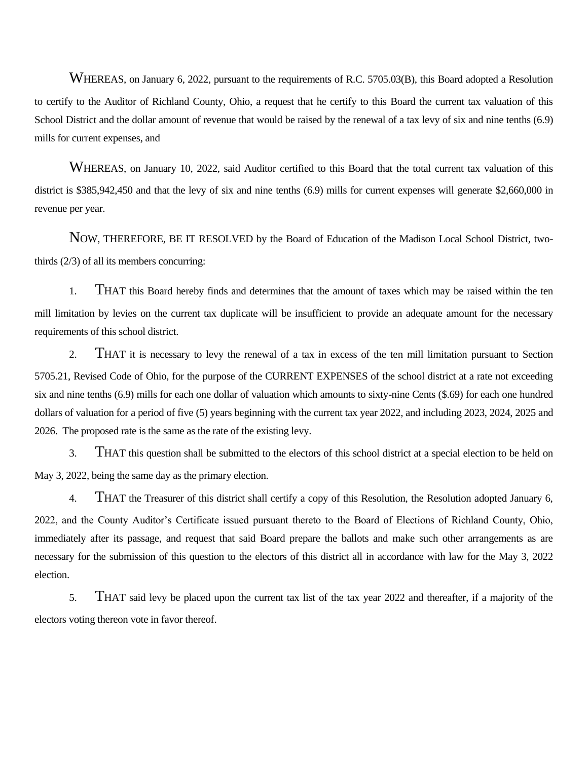WHEREAS, on January 6, 2022, pursuant to the requirements of R.C. 5705.03(B), this Board adopted a Resolution to certify to the Auditor of Richland County, Ohio, a request that he certify to this Board the current tax valuation of this School District and the dollar amount of revenue that would be raised by the renewal of a tax levy of six and nine tenths (6.9) mills for current expenses, and

WHEREAS, on January 10, 2022, said Auditor certified to this Board that the total current tax valuation of this district is \$385,942,450 and that the levy of six and nine tenths (6.9) mills for current expenses will generate \$2,660,000 in revenue per year.

NOW, THEREFORE, BE IT RESOLVED by the Board of Education of the Madison Local School District, twothirds (2/3) of all its members concurring:

1. THAT this Board hereby finds and determines that the amount of taxes which may be raised within the ten mill limitation by levies on the current tax duplicate will be insufficient to provide an adequate amount for the necessary requirements of this school district.

2. THAT it is necessary to levy the renewal of a tax in excess of the ten mill limitation pursuant to Section 5705.21, Revised Code of Ohio, for the purpose of the CURRENT EXPENSES of the school district at a rate not exceeding six and nine tenths (6.9) mills for each one dollar of valuation which amounts to sixty-nine Cents (\$.69) for each one hundred dollars of valuation for a period of five (5) years beginning with the current tax year 2022, and including 2023, 2024, 2025 and 2026. The proposed rate is the same as the rate of the existing levy.

3. THAT this question shall be submitted to the electors of this school district at a special election to be held on May 3, 2022, being the same day as the primary election.

4. THAT the Treasurer of this district shall certify a copy of this Resolution, the Resolution adopted January 6, 2022, and the County Auditor's Certificate issued pursuant thereto to the Board of Elections of Richland County, Ohio, immediately after its passage, and request that said Board prepare the ballots and make such other arrangements as are necessary for the submission of this question to the electors of this district all in accordance with law for the May 3, 2022 election.

5. THAT said levy be placed upon the current tax list of the tax year 2022 and thereafter, if a majority of the electors voting thereon vote in favor thereof.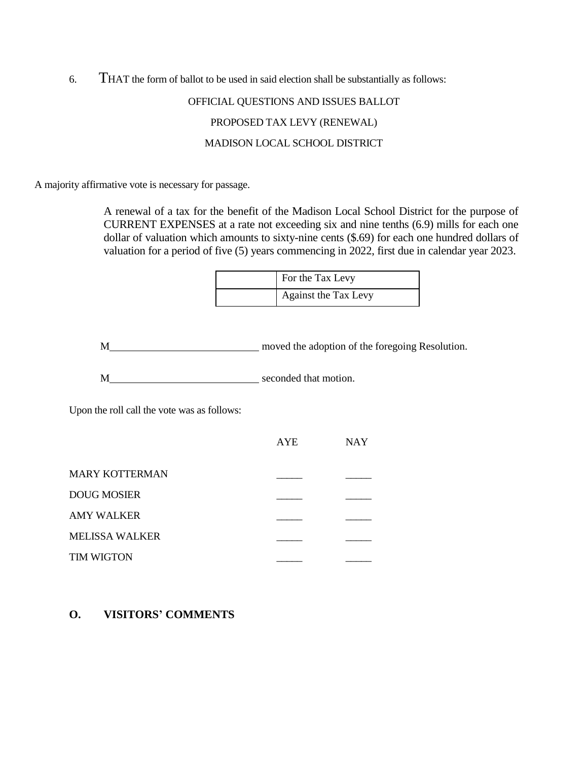6. THAT the form of ballot to be used in said election shall be substantially as follows:

# OFFICIAL QUESTIONS AND ISSUES BALLOT PROPOSED TAX LEVY (RENEWAL) MADISON LOCAL SCHOOL DISTRICT

A majority affirmative vote is necessary for passage.

A renewal of a tax for the benefit of the Madison Local School District for the purpose of CURRENT EXPENSES at a rate not exceeding six and nine tenths (6.9) mills for each one dollar of valuation which amounts to sixty-nine cents (\$.69) for each one hundred dollars of valuation for a period of five (5) years commencing in 2022, first due in calendar year 2023.

| For the Tax Levy     |
|----------------------|
| Against the Tax Levy |

M moved the adoption of the foregoing Resolution.

M seconded that motion.

Upon the roll call the vote was as follows:

|                       | <b>AYE</b> | <b>NAY</b> |
|-----------------------|------------|------------|
| <b>MARY KOTTERMAN</b> |            |            |
| <b>DOUG MOSIER</b>    |            |            |
| <b>AMY WALKER</b>     |            |            |
| <b>MELISSA WALKER</b> |            |            |
| <b>TIM WIGTON</b>     |            |            |

#### **O. VISITORS' COMMENTS**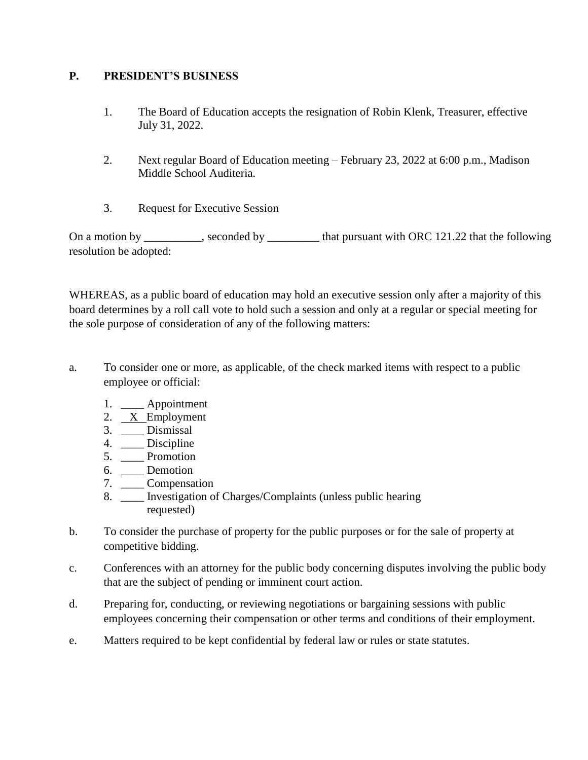### **P. PRESIDENT'S BUSINESS**

- 1. The Board of Education accepts the resignation of Robin Klenk, Treasurer, effective July 31, 2022.
- 2. Next regular Board of Education meeting February 23, 2022 at 6:00 p.m., Madison Middle School Auditeria.
- 3. Request for Executive Session

On a motion by \_\_\_\_\_\_\_\_, seconded by \_\_\_\_\_\_\_\_ that pursuant with ORC 121.22 that the following resolution be adopted:

WHEREAS, as a public board of education may hold an executive session only after a majority of this board determines by a roll call vote to hold such a session and only at a regular or special meeting for the sole purpose of consideration of any of the following matters:

- a. To consider one or more, as applicable, of the check marked items with respect to a public employee or official:
	- 1. \_\_\_\_ Appointment
	- 2.  $X$  Employment
	- 3. \_\_\_\_ Dismissal
	- 4. \_\_\_\_\_ Discipline
	- 5. \_\_\_\_ Promotion
	- 6. \_\_\_\_ Demotion
	- 7. \_\_\_\_ Compensation
	- 8. \_\_\_\_ Investigation of Charges/Complaints (unless public hearing requested)
- b. To consider the purchase of property for the public purposes or for the sale of property at competitive bidding.
- c. Conferences with an attorney for the public body concerning disputes involving the public body that are the subject of pending or imminent court action.
- d. Preparing for, conducting, or reviewing negotiations or bargaining sessions with public employees concerning their compensation or other terms and conditions of their employment.
- e. Matters required to be kept confidential by federal law or rules or state statutes.